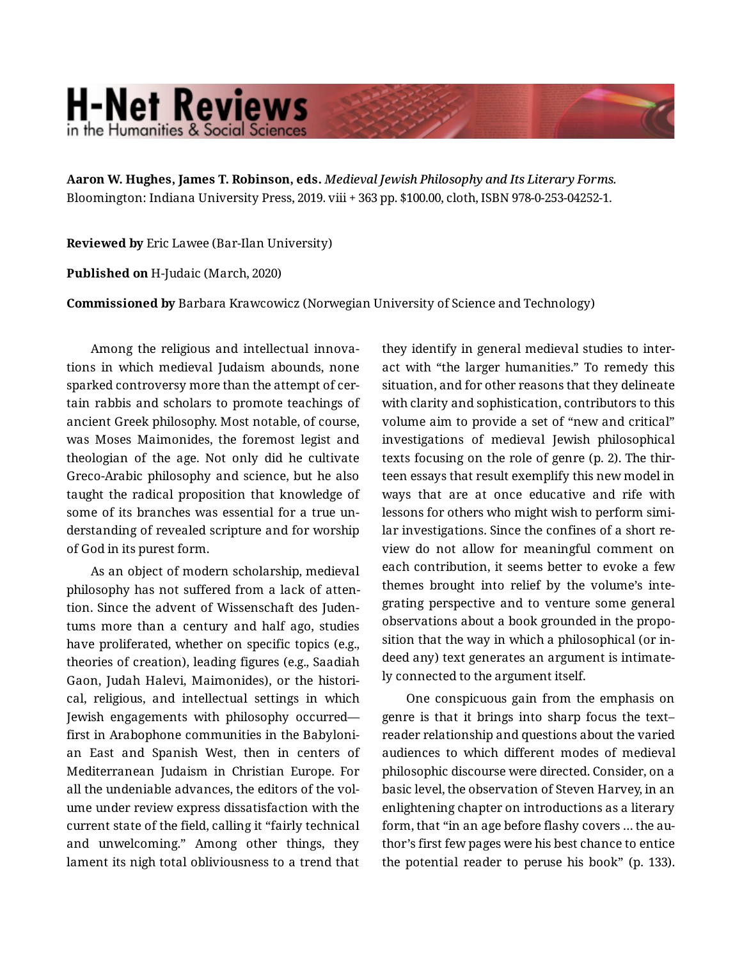## **H-Net Reviews** in the Humanities & Social Scienc

**Aaron W. Hughes, James T. Robinson, eds.** *Medieval Jewish Philosophy and Its Literary Forms.*  Bloomington: Indiana University Press, 2019. viii + 363 pp. \$100.00, cloth, ISBN 978-0-253-04252-1.

**Reviewed by** Eric Lawee (Bar-Ilan University)

**Published on** H-Judaic (March, 2020)

**Commissioned by** Barbara Krawcowicz (Norwegian University of Science and Technology)

Among the religious and intellectual innova‐ tions in which medieval Judaism abounds, none sparked controversy more than the attempt of certain rabbis and scholars to promote teachings of ancient Greek philosophy. Most notable, of course, was Moses Maimonides, the foremost legist and theologian of the age. Not only did he cultivate Greco-Arabic philosophy and science, but he also taught the radical proposition that knowledge of some of its branches was essential for a true un‐ derstanding of revealed scripture and for worship of God in its purest form.

As an object of modern scholarship, medieval philosophy has not suffered from a lack of attention. Since the advent of Wissenschaft des Juden‐ tums more than a century and half ago, studies have proliferated, whether on specific topics (e.g., theories of creation), leading figures (e.g., Saadiah Gaon, Judah Halevi, Maimonides), or the histori‐ cal, religious, and intellectual settings in which Jewish engagements with philosophy occurred first in Arabophone communities in the Babyloni‐ an East and Spanish West, then in centers of Mediterranean Judaism in Christian Europe. For all the undeniable advances, the editors of the vol‐ ume under review express dissatisfaction with the current state of the field, calling it "fairly technical and unwelcoming." Among other things, they lament its nigh total obliviousness to a trend that

they identify in general medieval studies to inter‐ act with "the larger humanities." To remedy this situation, and for other reasons that they delineate with clarity and sophistication, contributors to this volume aim to provide a set of "new and critical" investigations of medieval Jewish philosophical texts focusing on the role of genre (p. 2). The thir‐ teen essays that result exemplify this new model in ways that are at once educative and rife with lessons for others who might wish to perform simi‐ lar investigations. Since the confines of a short re‐ view do not allow for meaningful comment on each contribution, it seems better to evoke a few themes brought into relief by the volume's inte‐ grating perspective and to venture some general observations about a book grounded in the propo‐ sition that the way in which a philosophical (or in‐ deed any) text generates an argument is intimate‐ ly connected to the argument itself.

One conspicuous gain from the emphasis on genre is that it brings into sharp focus the text– reader relationship and questions about the varied audiences to which different modes of medieval philosophic discourse were directed. Consider, on a basic level, the observation of Steven Harvey, in an enlightening chapter on introductions as a literary form, that "in an age before flashy covers … the au‐ thor's first few pages were his best chance to entice the potential reader to peruse his book" (p. 133).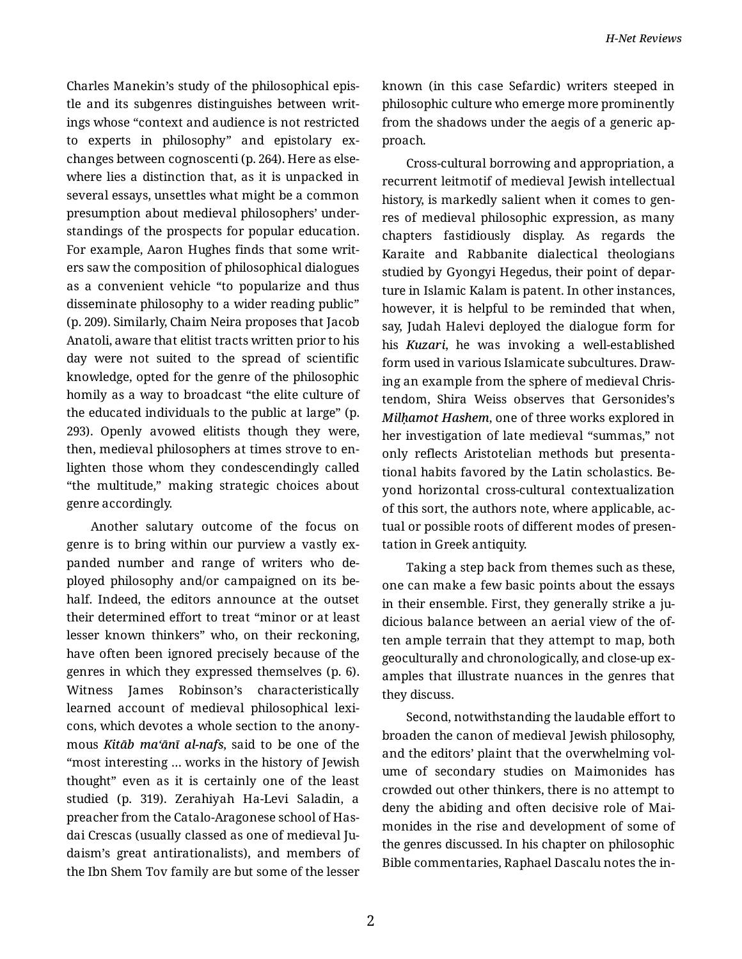Charles Manekin's study of the philosophical epis‐ tle and its subgenres distinguishes between writ‐ ings whose "context and audience is not restricted to experts in philosophy" and epistolary ex‐ changes between cognoscenti (p. 264). Here as else‐ where lies a distinction that, as it is unpacked in several essays, unsettles what might be a common presumption about medieval philosophers' under‐ standings of the prospects for popular education. For example, Aaron Hughes finds that some writ‐ ers saw the composition of philosophical dialogues as a convenient vehicle "to popularize and thus disseminate philosophy to a wider reading public" (p. 209). Similarly, Chaim Neira proposes that Jacob Anatoli, aware that elitist tracts written prior to his day were not suited to the spread of scientific knowledge, opted for the genre of the philosophic homily as a way to broadcast "the elite culture of the educated individuals to the public at large" (p. 293). Openly avowed elitists though they were, then, medieval philosophers at times strove to en‐ lighten those whom they condescendingly called "the multitude," making strategic choices about genre accordingly.

Another salutary outcome of the focus on genre is to bring within our purview a vastly ex‐ panded number and range of writers who de‐ ployed philosophy and/or campaigned on its be‐ half. Indeed, the editors announce at the outset their determined effort to treat "minor or at least lesser known thinkers" who, on their reckoning, have often been ignored precisely because of the genres in which they expressed themselves (p. 6). Witness James Robinson's characteristically learned account of medieval philosophical lexi‐ cons, which devotes a whole section to the anony‐ mous *Kitāb ma'ānī al-nafs*, said to be one of the "most interesting … works in the history of Jewish thought" even as it is certainly one of the least studied (p. 319). Zerahiyah Ha-Levi Saladin, a preacher from the Catalo-Aragonese school of Has‐ dai Crescas (usually classed as one of medieval Ju‐ daism's great antirationalists), and members of the Ibn Shem Tov family are but some of the lesser

known (in this case Sefardic) writers steeped in philosophic culture who emerge more prominently from the shadows under the aegis of a generic ap‐ proach.

Cross-cultural borrowing and appropriation, a recurrent leitmotif of medieval Jewish intellectual history, is markedly salient when it comes to gen‐ res of medieval philosophic expression, as many chapters fastidiously display. As regards the Karaite and Rabbanite dialectical theologians studied by Gyongyi Hegedus, their point of depar‐ ture in Islamic Kalam is patent. In other instances, however, it is helpful to be reminded that when, say, Judah Halevi deployed the dialogue form for his *Kuzari*, he was invoking a well-established form used in various Islamicate subcultures. Draw‐ ing an example from the sphere of medieval Chris‐ tendom, Shira Weiss observes that Gersonides's *Milḥamot Hashem*, one of three works explored in her investigation of late medieval "summas," not only reflects Aristotelian methods but presenta‐ tional habits favored by the Latin scholastics. Be‐ yond horizontal cross-cultural contextualization of this sort, the authors note, where applicable, ac‐ tual or possible roots of different modes of presen‐ tation in Greek antiquity.

Taking a step back from themes such as these, one can make a few basic points about the essays in their ensemble. First, they generally strike a ju‐ dicious balance between an aerial view of the of‐ ten ample terrain that they attempt to map, both geoculturally and chronologically, and close-up ex‐ amples that illustrate nuances in the genres that they discuss.

Second, notwithstanding the laudable effort to broaden the canon of medieval Jewish philosophy, and the editors' plaint that the overwhelming vol‐ ume of secondary studies on Maimonides has crowded out other thinkers, there is no attempt to deny the abiding and often decisive role of Mai‐ monides in the rise and development of some of the genres discussed. In his chapter on philosophic Bible commentaries, Raphael Dascalu notes the in‐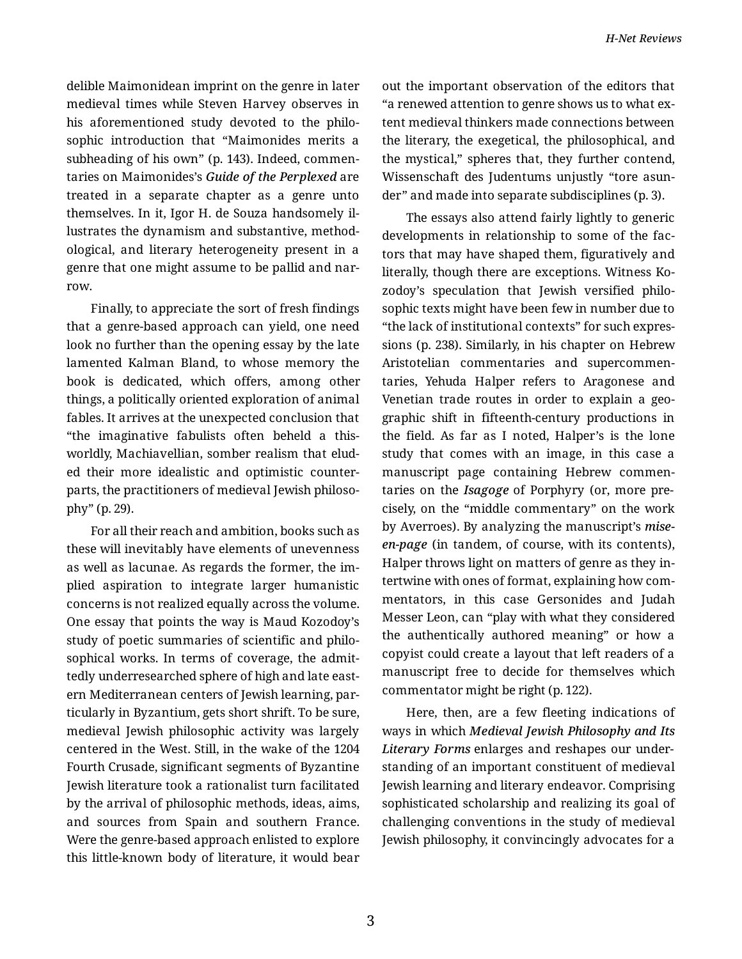delible Maimonidean imprint on the genre in later medieval times while Steven Harvey observes in his aforementioned study devoted to the philo‐ sophic introduction that "Maimonides merits a subheading of his own" (p. 143). Indeed, commen‐ taries on Maimonides's *Guide of the Perplexed* are treated in a separate chapter as a genre unto themselves. In it, Igor H. de Souza handsomely il‐ lustrates the dynamism and substantive, method‐ ological, and literary heterogeneity present in a genre that one might assume to be pallid and nar‐ row.

Finally, to appreciate the sort of fresh findings that a genre-based approach can yield, one need look no further than the opening essay by the late lamented Kalman Bland, to whose memory the book is dedicated, which offers, among other things, a politically oriented exploration of animal fables. It arrives at the unexpected conclusion that "the imaginative fabulists often beheld a thisworldly, Machiavellian, somber realism that elud‐ ed their more idealistic and optimistic counter‐ parts, the practitioners of medieval Jewish philoso‐ phy" (p. 29).

For all their reach and ambition, books such as these will inevitably have elements of unevenness as well as lacunae. As regards the former, the im‐ plied aspiration to integrate larger humanistic concerns is not realized equally across the volume. One essay that points the way is Maud Kozodoy's study of poetic summaries of scientific and philo‐ sophical works. In terms of coverage, the admit‐ tedly underresearched sphere of high and late east‐ ern Mediterranean centers of Jewish learning, par‐ ticularly in Byzantium, gets short shrift. To be sure, medieval Jewish philosophic activity was largely centered in the West. Still, in the wake of the 1204 Fourth Crusade, significant segments of Byzantine Jewish literature took a rationalist turn facilitated by the arrival of philosophic methods, ideas, aims, and sources from Spain and southern France. Were the genre-based approach enlisted to explore this little-known body of literature, it would bear

out the important observation of the editors that "a renewed attention to genre shows us to what ex‐ tent medieval thinkers made connections between the literary, the exegetical, the philosophical, and the mystical," spheres that, they further contend, Wissenschaft des Judentums unjustly "tore asun‐ der" and made into separate subdisciplines (p. 3).

The essays also attend fairly lightly to generic developments in relationship to some of the fac‐ tors that may have shaped them, figuratively and literally, though there are exceptions. Witness Ko‐ zodoy's speculation that Jewish versified philo‐ sophic texts might have been few in number due to "the lack of institutional contexts" for such expres‐ sions (p. 238). Similarly, in his chapter on Hebrew Aristotelian commentaries and supercommen‐ taries, Yehuda Halper refers to Aragonese and Venetian trade routes in order to explain a geo‐ graphic shift in fifteenth-century productions in the field. As far as I noted, Halper's is the lone study that comes with an image, in this case a manuscript page containing Hebrew commen‐ taries on the *Isagoge* of Porphyry (or, more pre‐ cisely, on the "middle commentary" on the work by Averroes). By analyzing the manuscript's *miseen-page* (in tandem, of course, with its contents), Halper throws light on matters of genre as they in‐ tertwine with ones of format, explaining how com‐ mentators, in this case Gersonides and Judah Messer Leon, can "play with what they considered the authentically authored meaning" or how a copyist could create a layout that left readers of a manuscript free to decide for themselves which commentator might be right (p. 122).

Here, then, are a few fleeting indications of ways in which *Medieval Jewish Philosophy and Its Literary Forms* enlarges and reshapes our under‐ standing of an important constituent of medieval Jewish learning and literary endeavor. Comprising sophisticated scholarship and realizing its goal of challenging conventions in the study of medieval Jewish philosophy, it convincingly advocates for a